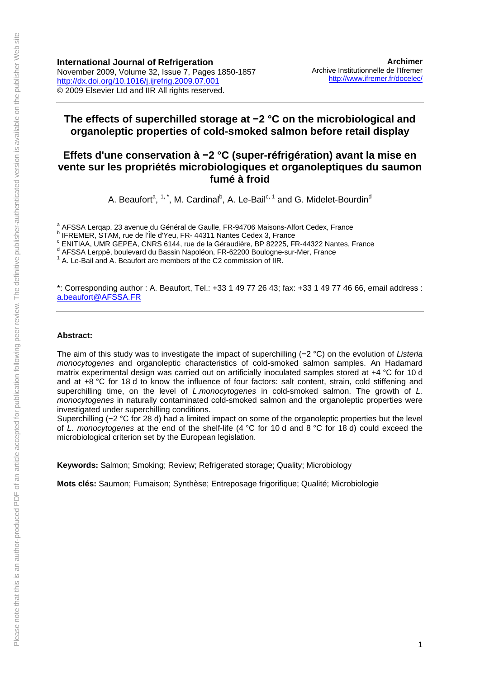**International Journal of Refrigeration**  November 2009, Volume 32, Issue 7, Pages 1850-1857 <http://dx.doi.org/10.1016/j.ijrefrig.2009.07.001> © 2009 Elsevier Ltd and IIR All rights reserved.

## **The effects of superchilled storage at −2 °C on the microbiological and organoleptic properties of cold-smoked salmon before retail display**

# **Effets d'une conservation à −2 °C (super-réfrigération) avant la mise en vente sur les propriétés microbiologiques et organoleptiques du saumon fumé à froid**

A. Beaufort<sup>a</sup>, <sup>1, \*</sup>, M. Cardinal<sup>b</sup>, A. Le-Bail<sup>c, 1</sup> and G. Midelet-Bourdin<sup>d</sup>

<sup>a</sup> AFSSA Lerqap, 23 avenue du Général de Gaulle, FR-94706 Maisons-Alfort Cedex, France<br><sup>b</sup> IEREMER, STAM, rue de l'Île d'Yeu, ER, 44244 Nantes Cedey 2, France

<sup>c</sup> ENITIAA, UMR GEPEA, CNRS 6144, rue de la Géraudière, BP 82225, FR-44322 Nantes, France

AFSSA Lerppê, boulevard du Bassin Napoléon, FR-62200 Boulogne-sur-Mer, France

<sup>1</sup> A. Le-Bail and A. Beaufort are members of the C2 commission of IIR.

\*: Corresponding author : A. Beaufort, Tel.: +33 1 49 77 26 43; fax: +33 1 49 77 46 66, email address : [a.beaufort@AFSSA.FR](mailto:a.beaufort@AFSSA.FR)

#### **Abstract:**

The aim of this study was to investigate the impact of superchilling (−2 °C) on the evolution of *Listeria monocytogenes* and organoleptic characteristics of cold-smoked salmon samples. An Hadamard matrix experimental design was carried out on artificially inoculated samples stored at +4 °C for 10 d and at +8 °C for 18 d to know the influence of four factors: salt content, strain, cold stiffening and superchilling time, on the level of *L*.*monocytogenes* in cold-smoked salmon. The growth of *L. monocytogenes* in naturally contaminated cold-smoked salmon and the organoleptic properties were investigated under superchilling conditions.

Superchilling (−2 °C for 28 d) had a limited impact on some of the organoleptic properties but the level of *L. monocytogenes* at the end of the shelf-life (4 °C for 10 d and 8 °C for 18 d) could exceed the microbiological criterion set by the European legislation.

**Keywords:** Salmon; Smoking; Review; Refrigerated storage; Quality; Microbiology

**Mots clés:** Saumon; Fumaison; Synthèse; Entreposage frigorifique; Qualité; Microbiologie

<sup>&</sup>lt;sup>b</sup> IFREMER, STAM, rue de l'Île d'Yeu, FR- 44311 Nantes Cedex 3, France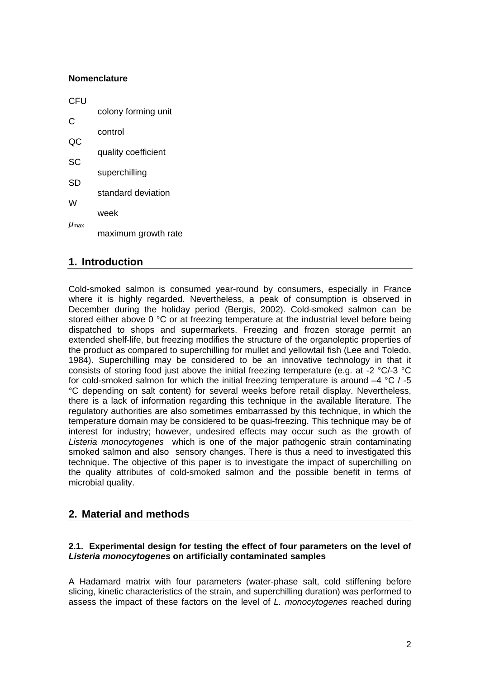### **Nomenclature**

| CFU                |                     |  |  |  |  |
|--------------------|---------------------|--|--|--|--|
| С                  | colony forming unit |  |  |  |  |
|                    | control             |  |  |  |  |
| QC                 | quality coefficient |  |  |  |  |
| SC                 |                     |  |  |  |  |
| <b>SD</b>          | superchilling       |  |  |  |  |
| W                  | standard deviation  |  |  |  |  |
|                    | week                |  |  |  |  |
| $\mu_{\text{max}}$ | maximum growth rate |  |  |  |  |

# **1. Introduction**

Cold-smoked salmon is consumed year-round by consumers, especially in France where it is highly regarded. Nevertheless, a peak of consumption is observed in December during the holiday period (Bergis, 2002). Cold-smoked salmon can be stored either above 0 °C or at freezing temperature at the industrial level before being dispatched to shops and supermarkets. Freezing and frozen storage permit an extended shelf-life, but freezing modifies the structure of the organoleptic properties of the product as compared to superchilling for mullet and yellowtail fish (Lee and Toledo, 1984). Superchilling may be considered to be an innovative technology in that it consists of storing food just above the initial freezing temperature (e.g. at -2 °C/-3 °C for cold-smoked salmon for which the initial freezing temperature is around  $-4$  °C  $/$  -5 °C depending on salt content) for several weeks before retail display. Nevertheless, there is a lack of information regarding this technique in the available literature. The regulatory authorities are also sometimes embarrassed by this technique, in which the temperature domain may be considered to be quasi-freezing. This technique may be of interest for industry; however, undesired effects may occur such as the growth of *Listeria monocytogenes* which is one of the major pathogenic strain contaminating smoked salmon and also sensory changes. There is thus a need to investigated this technique. The objective of this paper is to investigate the impact of superchilling on the quality attributes of cold-smoked salmon and the possible benefit in terms of microbial quality.

# **2. Material and methods**

### **2.1. Experimental design for testing the effect of four parameters on the level of**  *Listeria monocytogenes* **on artificially contaminated samples**

A Hadamard matrix with four parameters (water-phase salt, cold stiffening before slicing, kinetic characteristics of the strain, and superchilling duration) was performed to assess the impact of these factors on the level of *L. monocytogenes* reached during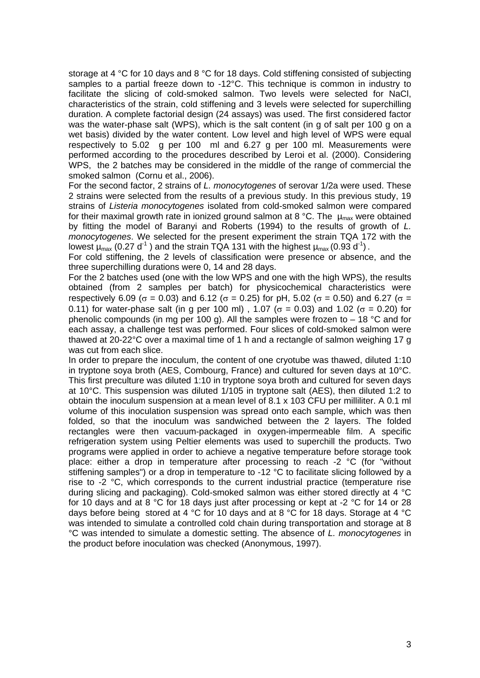storage at 4 °C for 10 days and 8 °C for 18 days. Cold stiffening consisted of subjecting samples to a partial freeze down to -12°C. This technique is common in industry to facilitate the slicing of cold-smoked salmon. Two levels were selected for NaCl, characteristics of the strain, cold stiffening and 3 levels were selected for superchilling duration. A complete factorial design (24 assays) was used. The first considered factor was the water-phase salt (WPS), which is the salt content (in g of salt per 100 g on a wet basis) divided by the water content. Low level and high level of WPS were equal respectively to 5.02 g per 100 ml and 6.27 g per 100 ml. Measurements were performed according to the procedures described by Leroi et al. (2000). Considering WPS, the 2 batches may be considered in the middle of the range of commercial the smoked salmon (Cornu et al., 2006).

For the second factor, 2 strains of *L. monocytogenes* of serovar 1/2a were used. These 2 strains were selected from the results of a previous study. In this previous study, 19 strains of *Listeria monocytogenes* isolated from cold-smoked salmon were compared for their maximal growth rate in ionized ground salmon at 8 °C. The  $\mu_{\text{max}}$  were obtained by fitting the model of Baranyi and Roberts (1994) to the results of growth of *L. monocytogenes*. We selected for the present experiment the strain TQA 172 with the lowest  $\mu_{\text{max}}$  (0.27 d<sup>-1</sup>) and the strain TQA 131 with the highest  $\mu_{\text{max}}$  (0.93 d<sup>-1</sup>).

For cold stiffening, the 2 levels of classification were presence or absence, and the three superchilling durations were 0, 14 and 28 days.

For the 2 batches used (one with the low WPS and one with the high WPS), the results obtained (from 2 samples per batch) for physicochemical characteristics were respectively 6.09 ( $\sigma$  = 0.03) and 6.12 ( $\sigma$  = 0.25) for pH, 5.02 ( $\sigma$  = 0.50) and 6.27 ( $\sigma$  = 0.11) for water-phase salt (in g per 100 ml), 1.07 ( $\sigma$  = 0.03) and 1.02 ( $\sigma$  = 0.20) for phenolic compounds (in mg per 100 g). All the samples were frozen to  $-18$  °C and for each assay, a challenge test was performed. Four slices of cold-smoked salmon were thawed at 20-22°C over a maximal time of 1 h and a rectangle of salmon weighing 17 g was cut from each slice.

In order to prepare the inoculum, the content of one cryotube was thawed, diluted 1:10 in tryptone soya broth (AES, Combourg, France) and cultured for seven days at 10°C. This first preculture was diluted 1:10 in tryptone soya broth and cultured for seven days at 10°C. This suspension was diluted 1/105 in tryptone salt (AES), then diluted 1:2 to obtain the inoculum suspension at a mean level of 8.1 x 103 CFU per milliliter. A 0.1 ml volume of this inoculation suspension was spread onto each sample, which was then folded, so that the inoculum was sandwiched between the 2 layers. The folded rectangles were then vacuum-packaged in oxygen-impermeable film. A specific refrigeration system using Peltier elements was used to superchill the products. Two programs were applied in order to achieve a negative temperature before storage took place: either a drop in temperature after processing to reach -2 °C (for "without stiffening samples") or a drop in temperature to -12 °C to facilitate slicing followed by a rise to -2 °C, which corresponds to the current industrial practice (temperature rise during slicing and packaging). Cold-smoked salmon was either stored directly at 4 °C for 10 days and at 8 °C for 18 days just after processing or kept at -2 °C for 14 or 28 days before being stored at 4 °C for 10 days and at 8 °C for 18 days. Storage at 4 °C was intended to simulate a controlled cold chain during transportation and storage at 8 °C was intended to simulate a domestic setting. The absence of *L. monocytogenes* in the product before inoculation was checked (Anonymous, 1997).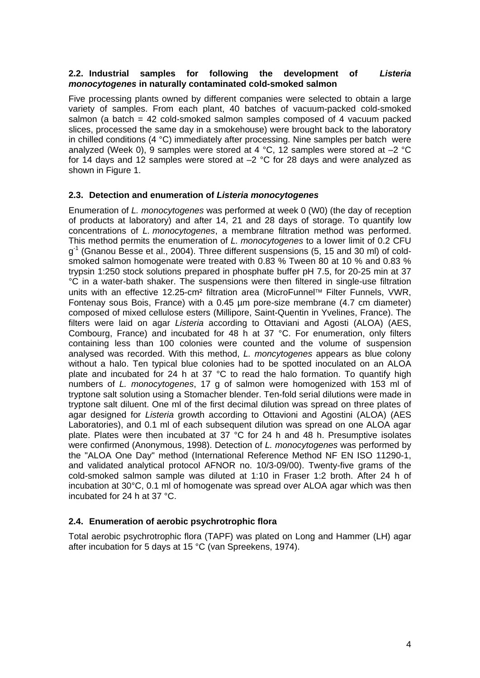### **2.2. Industrial samples for following the development of** *Listeria monocytogenes* **in naturally contaminated cold-smoked salmon**

Five processing plants owned by different companies were selected to obtain a large variety of samples. From each plant, 40 batches of vacuum-packed cold-smoked salmon (a batch = 42 cold-smoked salmon samples composed of 4 vacuum packed slices, processed the same day in a smokehouse) were brought back to the laboratory in chilled conditions (4 °C) immediately after processing. Nine samples per batch were analyzed (Week 0), 9 samples were stored at 4  $^{\circ}$ C, 12 samples were stored at  $-2$   $^{\circ}$ C for 14 days and 12 samples were stored at  $-2$  °C for 28 days and were analyzed as shown in Figure 1.

### **2.3. Detection and enumeration of** *Listeria monocytogenes*

Enumeration of *L. monocytogenes* was performed at week 0 (W0) (the day of reception of products at laboratory) and after 14, 21 and 28 days of storage. To quantify low concentrations of *L. monocytogenes*, a membrane filtration method was performed. This method permits the enumeration of *L. monocytogenes* to a lower limit of 0.2 CFU  $q<sup>-1</sup>$  (Gnanou Besse et al., 2004). Three different suspensions (5, 15 and 30 ml) of coldsmoked salmon homogenate were treated with 0.83 % Tween 80 at 10 % and 0.83 % trypsin 1:250 stock solutions prepared in phosphate buffer pH 7.5, for 20-25 min at 37 °C in a water-bath shaker. The suspensions were then filtered in single-use filtration units with an effective 12.25-cm<sup>2</sup> filtration area (MicroFunnel™ Filter Funnels, VWR, Fontenay sous Bois, France) with a 0.45 µm pore-size membrane (4.7 cm diameter) composed of mixed cellulose esters (Millipore, Saint-Quentin in Yvelines, France). The filters were laid on agar *Listeria* according to Ottaviani and Agosti (ALOA) (AES, Combourg, France) and incubated for 48 h at 37 °C. For enumeration, only filters containing less than 100 colonies were counted and the volume of suspension analysed was recorded. With this method, *L. moncytogenes* appears as blue colony without a halo. Ten typical blue colonies had to be spotted inoculated on an ALOA plate and incubated for 24 h at 37 °C to read the halo formation. To quantify high numbers of *L. monocytogenes*, 17 g of salmon were homogenized with 153 ml of tryptone salt solution using a Stomacher blender. Ten-fold serial dilutions were made in tryptone salt diluent. One ml of the first decimal dilution was spread on three plates of agar designed for *Listeria* growth according to Ottavioni and Agostini (ALOA) (AES Laboratories), and 0.1 ml of each subsequent dilution was spread on one ALOA agar plate. Plates were then incubated at 37 °C for 24 h and 48 h. Presumptive isolates were confirmed (Anonymous, 1998). Detection of *L. monocytogenes* was performed by the "ALOA One Day" method (International Reference Method NF EN ISO 11290-1, and validated analytical protocol AFNOR no. 10/3-09/00). Twenty-five grams of the cold-smoked salmon sample was diluted at 1:10 in Fraser 1:2 broth. After 24 h of incubation at 30°C, 0.1 ml of homogenate was spread over ALOA agar which was then incubated for 24 h at 37 °C.

### **2.4. Enumeration of aerobic psychrotrophic flora**

Total aerobic psychrotrophic flora (TAPF) was plated on Long and Hammer (LH) agar after incubation for 5 days at 15 °C (van Spreekens, 1974).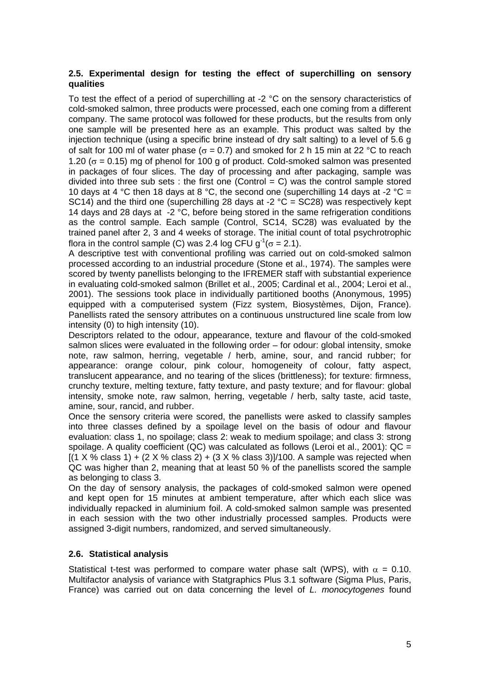### **2.5. Experimental design for testing the effect of superchilling on sensory qualities**

To test the effect of a period of superchilling at -2 °C on the sensory characteristics of cold-smoked salmon, three products were processed, each one coming from a different company. The same protocol was followed for these products, but the results from only one sample will be presented here as an example. This product was salted by the injection technique (using a specific brine instead of dry salt salting) to a level of 5.6 g of salt for 100 ml of water phase ( $\sigma$  = 0.7) and smoked for 2 h 15 min at 22 °C to reach 1.20 ( $\sigma$  = 0.15) mg of phenol for 100 g of product. Cold-smoked salmon was presented in packages of four slices. The day of processing and after packaging, sample was divided into three sub sets : the first one (Control = C) was the control sample stored 10 days at 4 °C then 18 days at 8 °C, the second one (superchilling 14 days at -2 °C = SC14) and the third one (superchilling 28 days at -2  $^{\circ}$ C = SC28) was respectively kept 14 days and 28 days at -2 °C, before being stored in the same refrigeration conditions as the control sample. Each sample (Control, SC14, SC28) was evaluated by the trained panel after 2, 3 and 4 weeks of storage. The initial count of total psychrotrophic flora in the control sample (C) was 2.4 log CFU  $q^{-1}$ ( $\sigma$  = 2.1).

A descriptive test with conventional profiling was carried out on cold-smoked salmon processed according to an industrial procedure (Stone et al., 1974). The samples were scored by twenty panellists belonging to the IFREMER staff with substantial experience in evaluating cold-smoked salmon (Brillet et al., 2005; Cardinal et al., 2004; Leroi et al., 2001). The sessions took place in individually partitioned booths (Anonymous, 1995) equipped with a computerised system (Fizz system, Biosystèmes, Dijon, France). Panellists rated the sensory attributes on a continuous unstructured line scale from low intensity (0) to high intensity (10).

Descriptors related to the odour, appearance, texture and flavour of the cold-smoked salmon slices were evaluated in the following order – for odour: global intensity, smoke note, raw salmon, herring, vegetable / herb, amine, sour, and rancid rubber; for appearance: orange colour, pink colour, homogeneity of colour, fatty aspect, translucent appearance, and no tearing of the slices (brittleness); for texture: firmness, crunchy texture, melting texture, fatty texture, and pasty texture; and for flavour: global intensity, smoke note, raw salmon, herring, vegetable / herb, salty taste, acid taste, amine, sour, rancid, and rubber.

Once the sensory criteria were scored, the panellists were asked to classify samples into three classes defined by a spoilage level on the basis of odour and flavour evaluation: class 1, no spoilage; class 2: weak to medium spoilage; and class 3: strong spoilage. A quality coefficient (QC) was calculated as follows (Leroi et al., 2001): QC  $=$  $[(1 \times \% \text{ class } 1) + (2 \times \% \text{ class } 2) + (3 \times \% \text{ class } 3)]/100$ . A sample was rejected when QC was higher than 2, meaning that at least 50 % of the panellists scored the sample as belonging to class 3.

On the day of sensory analysis, the packages of cold-smoked salmon were opened and kept open for 15 minutes at ambient temperature, after which each slice was individually repacked in aluminium foil. A cold-smoked salmon sample was presented in each session with the two other industrially processed samples. Products were assigned 3-digit numbers, randomized, and served simultaneously.

### **2.6. Statistical analysis**

Statistical t-test was performed to compare water phase salt (WPS), with  $\alpha = 0.10$ . Multifactor analysis of variance with Statgraphics Plus 3.1 software (Sigma Plus, Paris, France) was carried out on data concerning the level of *L. monocytogenes* found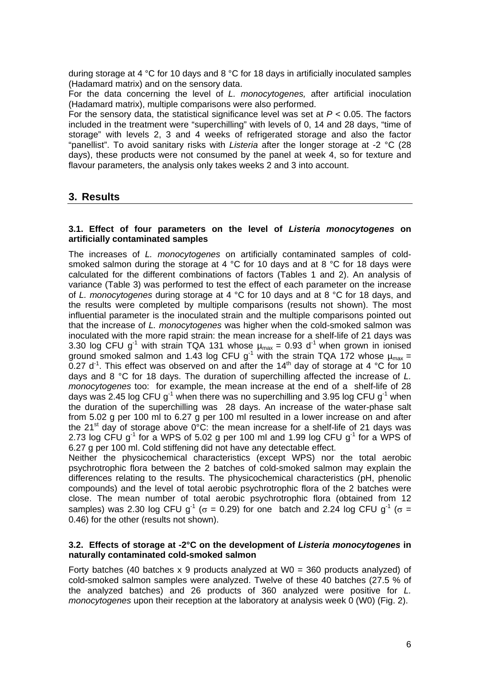during storage at 4 °C for 10 days and 8 °C for 18 days in artificially inoculated samples (Hadamard matrix) and on the sensory data.

For the data concerning the level of *L. monocytogenes,* after artificial inoculation (Hadamard matrix), multiple comparisons were also performed.

For the sensory data, the statistical significance level was set at *P <* 0.05. The factors included in the treatment were "superchilling" with levels of 0, 14 and 28 days, "time of storage" with levels 2, 3 and 4 weeks of refrigerated storage and also the factor "panellist". To avoid sanitary risks with *Listeria* after the longer storage at -2 °C (28 days), these products were not consumed by the panel at week 4, so for texture and flavour parameters, the analysis only takes weeks 2 and 3 into account.

# **3. Results**

#### **3.1. Effect of four parameters on the level of** *Listeria monocytogenes* **on artificially contaminated samples**

The increases of *L. monocytogenes* on artificially contaminated samples of coldsmoked salmon during the storage at 4  $^{\circ}$ C for 10 days and at 8  $^{\circ}$ C for 18 days were calculated for the different combinations of factors (Tables 1 and 2). An analysis of variance (Table 3) was performed to test the effect of each parameter on the increase of *L. monocytogenes* during storage at 4 °C for 10 days and at 8 °C for 18 days, and the results were completed by multiple comparisons (results not shown). The most influential parameter is the inoculated strain and the multiple comparisons pointed out that the increase of *L. monocytogenes* was higher when the cold-smoked salmon was inoculated with the more rapid strain: the mean increase for a shelf-life of 21 days was 3.30 log CFU g<sup>-1</sup> with strain TQA 131 whose  $\mu_{max} = 0.93$  d<sup>-1</sup> when grown in ionised ground smoked salmon and 1.43 log CFU  $g^{-1}$  with the strain TQA 172 whose  $\mu_{max} =$ 0.27  $d^1$ . This effect was observed on and after the 14<sup>th</sup> day of storage at 4 °C for 10 days and 8 °C for 18 days. The duration of superchilling affected the increase of *L. monocytogenes* too: for example, the mean increase at the end of a shelf-life of 28 days was 2.45 log CFU  $g^{-1}$  when there was no superchilling and 3.95 log CFU  $g^{-1}$  when the duration of the superchilling was 28 days. An increase of the water-phase salt from 5.02 g per 100 ml to 6.27 g per 100 ml resulted in a lower increase on and after the 21<sup>st</sup> day of storage above  $0^{\circ}$ C: the mean increase for a shelf-life of 21 days was 2.73 log CFU  $g^{-1}$  for a WPS of 5.02 g per 100 ml and 1.99 log CFU  $g^{-1}$  for a WPS of 6.27 g per 100 ml. Cold stiffening did not have any detectable effect.

Neither the physicochemical characteristics (except WPS) nor the total aerobic psychrotrophic flora between the 2 batches of cold-smoked salmon may explain the differences relating to the results. The physicochemical characteristics (pH, phenolic compounds) and the level of total aerobic psychrotrophic flora of the 2 batches were close. The mean number of total aerobic psychrotrophic flora (obtained from 12 samples) was 2.30 log CFU g<sup>-1</sup> ( $\sigma$  = 0.29) for one batch and 2.24 log CFU g<sup>-1</sup> ( $\sigma$  = 0.46) for the other (results not shown).

#### **3.2. Effects of storage at -2°C on the development of** *Listeria monocytogenes* **in naturally contaminated cold-smoked salmon**

Forty batches (40 batches  $x$  9 products analyzed at W0 = 360 products analyzed) of cold-smoked salmon samples were analyzed. Twelve of these 40 batches (27.5 % of the analyzed batches) and 26 products of 360 analyzed were positive for *L. monocytogenes* upon their reception at the laboratory at analysis week 0 (W0) (Fig. 2).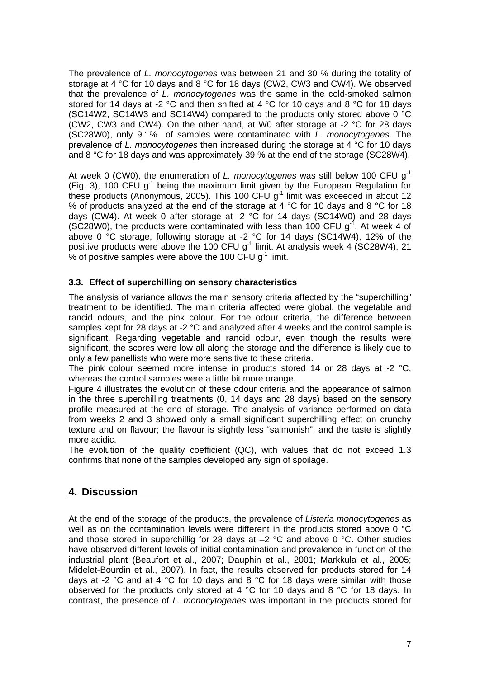The prevalence of *L. monocytogenes* was between 21 and 30 % during the totality of storage at 4 °C for 10 days and 8 °C for 18 days (CW2, CW3 and CW4). We observed that the prevalence of *L. monocytogenes* was the same in the cold-smoked salmon stored for 14 days at -2 °C and then shifted at 4 °C for 10 days and 8 °C for 18 days (SC14W2, SC14W3 and SC14W4) compared to the products only stored above 0 °C (CW2, CW3 and CW4). On the other hand, at W0 after storage at -2 °C for 28 days (SC28W0), only 9.1% of samples were contaminated with *L. monocytogenes*. The prevalence of *L. monocytogenes* then increased during the storage at 4 °C for 10 days and 8 °C for 18 days and was approximately 39 % at the end of the storage (SC28W4).

At week 0 (CW0), the enumeration of *L. monocytogenes* was still below 100 CFU g-1 (Fig. 3), 100 CFU  $g^{-1}$  being the maximum limit given by the European Regulation for these products (Anonymous, 2005). This 100 CFU  $q^{-1}$  limit was exceeded in about 12 % of products analyzed at the end of the storage at 4 °C for 10 days and 8 °C for 18 days (CW4). At week 0 after storage at -2  $\degree$ C for 14 days (SC14W0) and 28 days (SC28W0), the products were contaminated with less than 100 CFU  $g<sup>-1</sup>$ . At week 4 of above 0 °C storage, following storage at -2 °C for 14 days (SC14W4), 12% of the positive products were above the 100 CFU  $g^{-1}$  limit. At analysis week 4 (SC28W4), 21 % of positive samples were above the 100 CFU  $q^{-1}$  limit.

### **3.3. Effect of superchilling on sensory characteristics**

The analysis of variance allows the main sensory criteria affected by the "superchilling" treatment to be identified. The main criteria affected were global, the vegetable and rancid odours, and the pink colour. For the odour criteria, the difference between samples kept for 28 days at -2 °C and analyzed after 4 weeks and the control sample is significant. Regarding vegetable and rancid odour, even though the results were significant, the scores were low all along the storage and the difference is likely due to only a few panellists who were more sensitive to these criteria.

The pink colour seemed more intense in products stored 14 or 28 days at -2 °C. whereas the control samples were a little bit more orange.

Figure 4 illustrates the evolution of these odour criteria and the appearance of salmon in the three superchilling treatments (0, 14 days and 28 days) based on the sensory profile measured at the end of storage. The analysis of variance performed on data from weeks 2 and 3 showed only a small significant superchilling effect on crunchy texture and on flavour; the flavour is slightly less "salmonish", and the taste is slightly more acidic.

The evolution of the quality coefficient (QC), with values that do not exceed 1.3 confirms that none of the samples developed any sign of spoilage.

# **4. Discussion**

At the end of the storage of the products, the prevalence of *Listeria monocytogenes* as well as on the contamination levels were different in the products stored above 0 °C and those stored in superchillig for 28 days at  $-2$  °C and above 0 °C. Other studies have observed different levels of initial contamination and prevalence in function of the industrial plant (Beaufort et al., 2007; Dauphin et al., 2001; Markkula et al., 2005; Midelet-Bourdin et al., 2007). In fact, the results observed for products stored for 14 days at -2 °C and at 4 °C for 10 days and 8 °C for 18 days were similar with those observed for the products only stored at 4 °C for 10 days and 8 °C for 18 days. In contrast, the presence of *L. monocytogenes* was important in the products stored for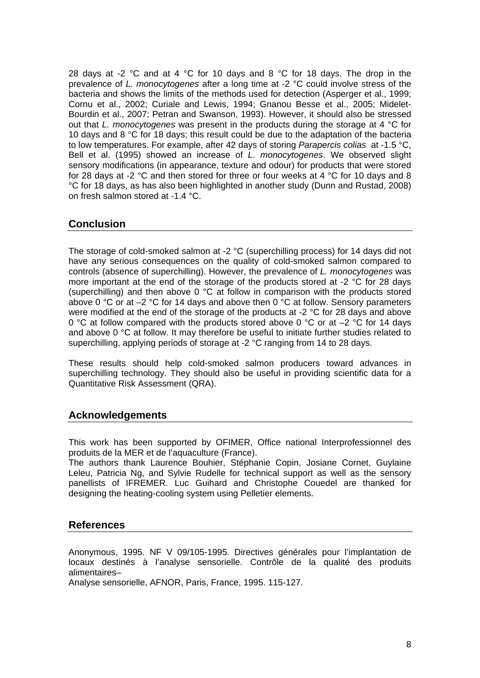28 days at -2  $\degree$ C and at 4  $\degree$ C for 10 days and 8  $\degree$ C for 18 days. The drop in the prevalence of *L. monocytogenes* after a long time at -2 °C could involve stress of the bacteria and shows the limits of the methods used for detection (Asperger et al., 1999; Cornu et al., 2002; Curiale and Lewis, 1994; Gnanou Besse et al., 2005; Midelet-Bourdin et al., 2007; Petran and Swanson, 1993). However, it should also be stressed out that *L. monocytogenes* was present in the products during the storage at 4 °C for 10 days and 8 °C for 18 days; this result could be due to the adaptation of the bacteria to low temperatures. For example, after 42 days of storing *Parapercis colias* at -1.5 °C, Bell et al. (1995) showed an increase of *L. monocytogenes*. We observed slight sensory modifications (in appearance, texture and odour) for products that were stored for 28 days at -2 °C and then stored for three or four weeks at 4 °C for 10 days and 8 °C for 18 days, as has also been highlighted in another study (Dunn and Rustad, 2008) on fresh salmon stored at -1.4 °C.

# **Conclusion**

The storage of cold-smoked salmon at -2 °C (superchilling process) for 14 days did not have any serious consequences on the quality of cold-smoked salmon compared to controls (absence of superchilling). However, the prevalence of *L. monocytogenes* was more important at the end of the storage of the products stored at -2 °C for 28 days (superchilling) and then above 0 °C at follow in comparison with the products stored above 0 °C or at –2 °C for 14 days and above then 0 °C at follow. Sensory parameters were modified at the end of the storage of the products at -2 °C for 28 days and above 0 °C at follow compared with the products stored above 0 °C or at  $-2$  °C for 14 days and above 0 °C at follow. It may therefore be useful to initiate further studies related to superchilling, applying periods of storage at -2 °C ranging from 14 to 28 days.

These results should help cold-smoked salmon producers toward advances in superchilling technology. They should also be useful in providing scientific data for a Quantitative Risk Assessment (QRA).

# **Acknowledgements**

This work has been supported by OFIMER, Office national Interprofessionnel des produits de la MER et de l'aquaculture (France).

The authors thank Laurence Bouhier, Stéphanie Copin, Josiane Cornet, Guylaine Leleu, Patricia Ng, and Sylvie Rudelle for technical support as well as the sensory panellists of IFREMER. Luc Guihard and Christophe Couedel are thanked for designing the heating-cooling system using Pelletier elements.

### **References**

Anonymous, 1995. NF V 09/105-1995. Directives générales pour l'implantation de locaux destinés à l'analyse sensorielle. Contrôle de la qualité des produits alimentaires–

Analyse sensorielle, AFNOR, Paris, France, 1995. 115-127.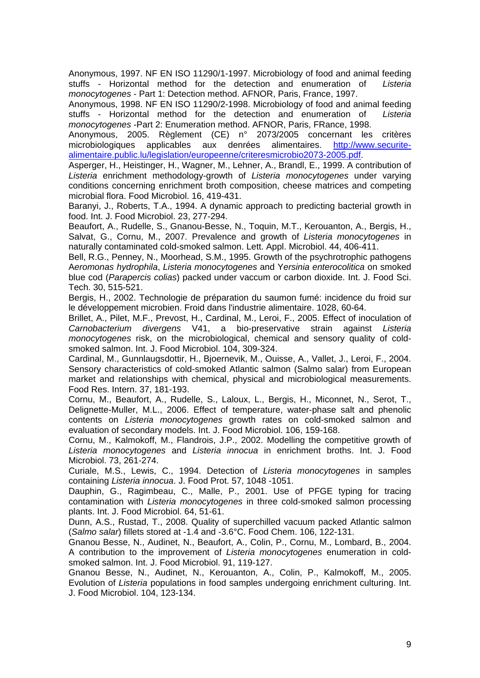Anonymous, 1997. NF EN ISO 11290/1-1997. Microbiology of food and animal feeding stuffs - Horizontal method for the detection and enumeration of *Listeria monocytogenes* - Part 1: Detection method. AFNOR, Paris, France, 1997.

Anonymous, 1998. NF EN ISO 11290/2-1998. Microbiology of food and animal feeding stuffs - Horizontal method for the detection and enumeration of *Listeria monocytogenes* -Part 2: Enumeration method. AFNOR, Paris, FRance, 1998.

Anonymous, 2005. Règlement (CE) n° 2073/2005 concernant les critères microbiologiques applicables aux denrées alimentaires. [http://www.securite](http://www.securite-alimentaire.public.lu/legislation/europeenne/criteresmicrobio2073-2005.pdf)[alimentaire.public.lu/legislation/europeenne/criteresmicrobio2073-2005.pdf.](http://www.securite-alimentaire.public.lu/legislation/europeenne/criteresmicrobio2073-2005.pdf)

Asperger, H., Heistinger, H., Wagner, M., Lehner, A., Brandl, E., 1999. A contribution of *Listeria* enrichment methodology-growth of *Listeria monocytogenes* under varying conditions concerning enrichment broth composition, cheese matrices and competing microbial flora. Food Microbiol. 16, 419-431.

Baranyi, J., Roberts, T.A., 1994. A dynamic approach to predicting bacterial growth in food. Int. J. Food Microbiol. 23, 277-294.

Beaufort, A., Rudelle, S., Gnanou-Besse, N., Toquin, M.T., Kerouanton, A., Bergis, H., Salvat, G., Cornu, M., 2007. Prevalence and growth of *Listeria monocytogenes* in naturally contaminated cold-smoked salmon. Lett. Appl. Microbiol. 44, 406-411.

Bell, R.G., Penney, N., Moorhead, S.M., 1995. Growth of the psychrotrophic pathogens A*eromonas hydrophila*, *Listeria monocytogenes* and Y*ersinia enterocolitica* on smoked blue cod (*Parapercis colias*) packed under vaccum or carbon dioxide. Int. J. Food Sci. Tech. 30, 515-521.

Bergis, H., 2002. Technologie de préparation du saumon fumé: incidence du froid sur le développement microbien. Froid dans l'industrie alimentaire. 1028, 60-64.

Brillet, A., Pilet, M.F., Prevost, H., Cardinal, M., Leroi, F., 2005. Effect of inoculation of *Carnobacterium divergens* V41, a bio-preservative strain against *Listeria monocytogenes* risk, on the microbiological, chemical and sensory quality of coldsmoked salmon. Int. J. Food Microbiol. 104, 309-324.

Cardinal, M., Gunnlaugsdottir, H., Bjoernevik, M., Ouisse, A., Vallet, J., Leroi, F., 2004. Sensory characteristics of cold-smoked Atlantic salmon (Salmo salar) from European market and relationships with chemical, physical and microbiological measurements. Food Res. Intern. 37, 181-193.

Cornu, M., Beaufort, A., Rudelle, S., Laloux, L., Bergis, H., Miconnet, N., Serot, T., Delignette-Muller, M.L., 2006. Effect of temperature, water-phase salt and phenolic contents on *Listeria monocytogenes* growth rates on cold-smoked salmon and evaluation of secondary models. Int. J. Food Microbiol. 106, 159-168.

Cornu, M., Kalmokoff, M., Flandrois, J.P., 2002. Modelling the competitive growth of *Listeria monocytogenes* and *Listeria innocua* in enrichment broths. Int. J. Food Microbiol. 73, 261-274.

Curiale, M.S., Lewis, C., 1994. Detection of *Listeria monocytogenes* in samples containing *Listeria innocua*. J. Food Prot. 57, 1048 -1051.

Dauphin, G., Ragimbeau, C., Malle, P., 2001. Use of PFGE typing for tracing contamination with *Listeria monocytogenes* in three cold-smoked salmon processing plants. Int. J. Food Microbiol. 64, 51-61.

Dunn, A.S., Rustad, T., 2008. Quality of superchilled vacuum packed Atlantic salmon (*Salmo salar*) fillets stored at -1.4 and -3.6°C. Food Chem. 106, 122-131.

Gnanou Besse, N., Audinet, N., Beaufort, A., Colin, P., Cornu, M., Lombard, B., 2004. A contribution to the improvement of *Listeria monocytogenes* enumeration in coldsmoked salmon. Int. J. Food Microbiol. 91, 119-127.

Gnanou Besse, N., Audinet, N., Kerouanton, A., Colin, P., Kalmokoff, M., 2005. Evolution of *Listeria* populations in food samples undergoing enrichment culturing. Int. J. Food Microbiol. 104, 123-134.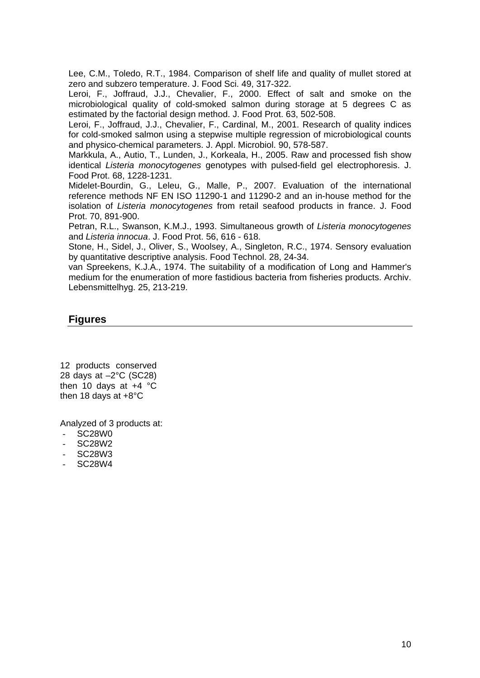Lee, C.M., Toledo, R.T., 1984. Comparison of shelf life and quality of mullet stored at zero and subzero temperature. J. Food Sci. 49, 317-322.

Leroi, F., Joffraud, J.J., Chevalier, F., 2000. Effect of salt and smoke on the microbiological quality of cold-smoked salmon during storage at 5 degrees C as estimated by the factorial design method. J. Food Prot. 63, 502-508.

Leroi, F., Joffraud, J.J., Chevalier, F., Cardinal, M., 2001. Research of quality indices for cold-smoked salmon using a stepwise multiple regression of microbiological counts and physico-chemical parameters. J. Appl. Microbiol. 90, 578-587.

Markkula, A., Autio, T., Lunden, J., Korkeala, H., 2005. Raw and processed fish show identical *Listeria monocytogenes* genotypes with pulsed-field gel electrophoresis. J. Food Prot. 68, 1228-1231.

Midelet-Bourdin, G., Leleu, G., Malle, P., 2007. Evaluation of the international reference methods NF EN ISO 11290-1 and 11290-2 and an in-house method for the isolation of *Listeria monocytogenes* from retail seafood products in france. J. Food Prot. 70, 891-900.

Petran, R.L., Swanson, K.M.J., 1993. Simultaneous growth of *Listeria monocytogenes* and *Listeria innocua*. J. Food Prot. 56, 616 - 618.

Stone, H., Sidel, J., Oliver, S., Woolsey, A., Singleton, R.C., 1974. Sensory evaluation by quantitative descriptive analysis. Food Technol. 28, 24-34.

van Spreekens, K.J.A., 1974. The suitability of a modification of Long and Hammer's medium for the enumeration of more fastidious bacteria from fisheries products. Archiv. Lebensmittelhyg. 25, 213-219.

# **Figures**

12 products conserved 28 days at –2°C (SC28) then 10 days at +4 °C then 18 days at +8°C

Analyzed of 3 products at:

- SC28W0
- SC28W2
- SC28W3
- SC28W4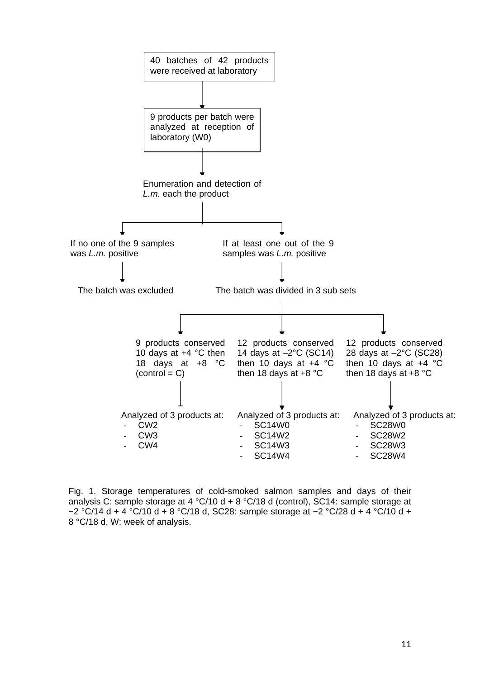

Fig. 1. Storage temperatures of cold-smoked salmon samples and days of their analysis C: sample storage at 4 °C/10 d + 8 °C/18 d (control), SC14: sample storage at −2 °C/14 d + 4 °C/10 d + 8 °C/18 d, SC28: sample storage at −2 °C/28 d + 4 °C/10 d + 8 °C/18 d, W: week of analysis.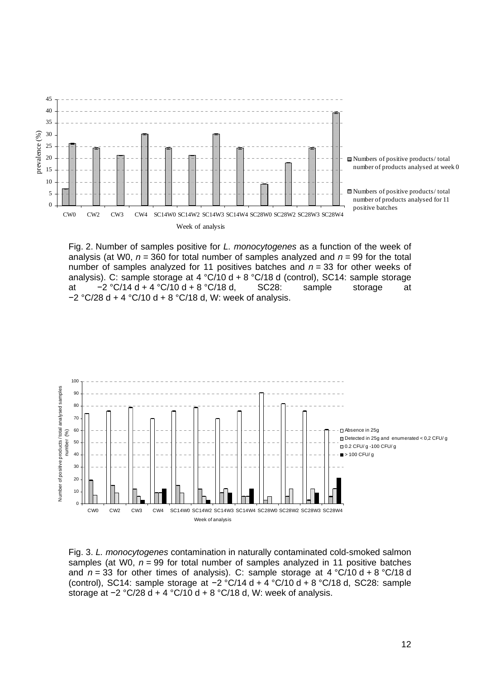

Fig. 2. Number of samples positive for *L. monocytogenes* as a function of the week of analysis (at W0, *n* = 360 for total number of samples analyzed and *n* = 99 for the total number of samples analyzed for 11 positives batches and *n* = 33 for other weeks of analysis). C: sample storage at  $4 \degree C/10 \text{ d} + 8 \degree C/18 \text{ d}$  (control), SC14: sample storage<br>at  $-2 \degree C/14 \text{ d} + 4 \degree C/10 \text{ d} + 8 \degree C/18 \text{ d}$ . SC28: sample storage at at −2 °C/14 d + 4 °C/10 d + 8 °C/18 d, SC28: sample storage at −2 °C/28 d + 4 °C/10 d + 8 °C/18 d, W: week of analysis.



Fig. 3. *L. monocytogenes* contamination in naturally contaminated cold-smoked salmon samples (at W0, *n* = 99 for total number of samples analyzed in 11 positive batches and  $n = 33$  for other times of analysis). C: sample storage at  $4 \degree C/10 \text{ d} + 8 \degree C/18 \text{ d}$ (control), SC14: sample storage at −2 °C/14 d + 4 °C/10 d + 8 °C/18 d, SC28: sample storage at -2 °C/28 d + 4 °C/10 d + 8 °C/18 d, W: week of analysis.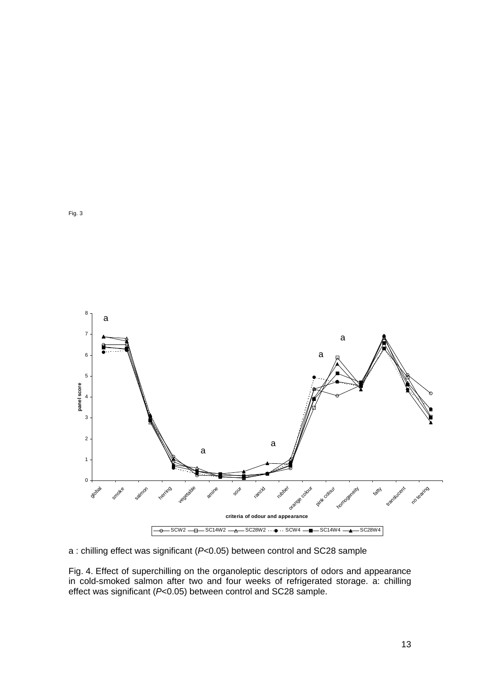

a : chilling effect was significant (*P<*0.05) between control and SC28 sample

Fig. 4. Effect of superchilling on the organoleptic descriptors of odors and appearance in cold-smoked salmon after two and four weeks of refrigerated storage. a: chilling effect was significant (*P*<0.05) between control and SC28 sample.

Fig. 3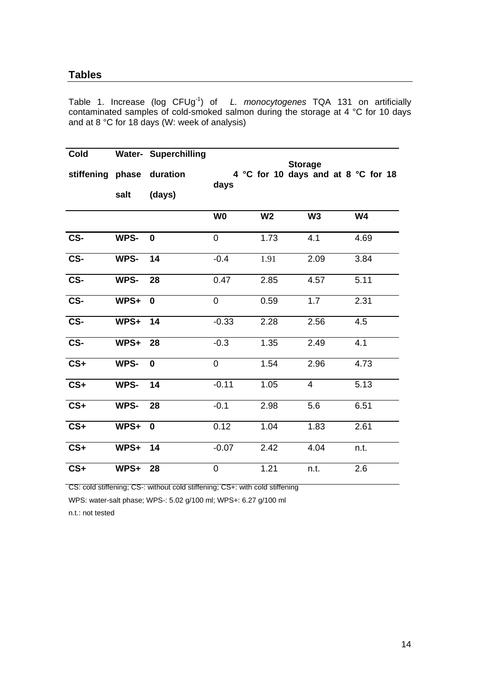# **Tables**

Table 1. Increase (log CFUg-1) of *L. monocytogenes* TQA 131 on artificially contaminated samples of cold-smoked salmon during the storage at 4 °C for 10 days and at 8 °C for 18 days (W: week of analysis)

| Cold<br>stiffening phase | salt | <b>Water- Superchilling</b><br>duration<br>(days) | days           |                | <b>Storage</b><br>4 °C for 10 days and at 8 °C for 18 |           |
|--------------------------|------|---------------------------------------------------|----------------|----------------|-------------------------------------------------------|-----------|
|                          |      |                                                   | W <sub>0</sub> | W <sub>2</sub> | W <sub>3</sub>                                        | <b>W4</b> |
|                          |      |                                                   |                |                |                                                       |           |
| CS-                      | WPS- | $\mathbf 0$                                       | $\mathbf 0$    | 1.73           | 4.1                                                   | 4.69      |
| CS-                      | WPS- | 14                                                | $-0.4$         | 1.91           | 2.09                                                  | 3.84      |
| CS-                      | WPS- | 28                                                | 0.47           | 2.85           | 4.57                                                  | 5.11      |
| CS-                      | WPS+ | $\mathbf 0$                                       | $\overline{0}$ | 0.59           | 1.7                                                   | 2.31      |
| CS-                      | WPS+ | 14                                                | $-0.33$        | 2.28           | 2.56                                                  | 4.5       |
| CS-                      | WPS+ | 28                                                | $-0.3$         | 1.35           | 2.49                                                  | 4.1       |
| $CS+$                    | WPS- | $\mathbf 0$                                       | $\overline{0}$ | 1.54           | 2.96                                                  | 4.73      |
| $CS+$                    | WPS- | 14                                                | $-0.11$        | 1.05           | $\overline{4}$                                        | 5.13      |
| $CS+$                    | WPS- | 28                                                | $-0.1$         | 2.98           | 5.6                                                   | 6.51      |
| $CS+$                    | WPS+ | $\bf{0}$                                          | 0.12           | 1.04           | 1.83                                                  | 2.61      |
| $CS+$                    | WPS+ | 14                                                | $-0.07$        | 2.42           | 4.04                                                  | n.t.      |
| $CS+$                    | WPS+ | 28                                                | $\mathbf 0$    | 1.21           | n.t.                                                  | 2.6       |

CS: cold stiffening; CS-: without cold stiffening; CS+: with cold stiffening

WPS: water-salt phase; WPS-: 5.02 g/100 ml; WPS+: 6.27 g/100 ml

n.t.: not tested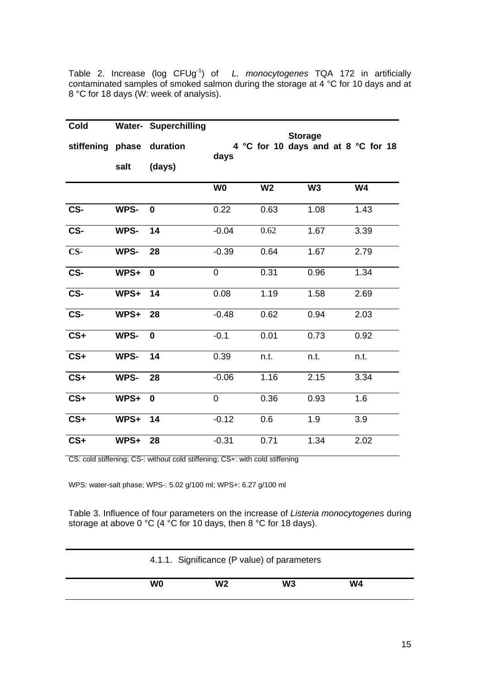Table 2. Increase (log CFUg-1) of *L. monocytogenes* TQA 172 in artificially contaminated samples of smoked salmon during the storage at 4 °C for 10 days and at 8 °C for 18 days (W: week of analysis).

| Cold                    |      | <b>Water- Superchilling</b> |                |                | <b>Storage</b> |                                     |
|-------------------------|------|-----------------------------|----------------|----------------|----------------|-------------------------------------|
| stiffening phase        |      | duration                    | days           |                |                | 4 °C for 10 days and at 8 °C for 18 |
|                         | salt | (days)                      |                |                |                |                                     |
|                         |      |                             | W <sub>0</sub> | W <sub>2</sub> | W <sub>3</sub> | <b>W4</b>                           |
| CS-                     | WPS- | $\mathbf 0$                 | 0.22           | 0.63           | 1.08           | 1.43                                |
| CS-                     | WPS- | 14                          | $-0.04$        | 0.62           | 1.67           | 3.39                                |
| $CS-$                   | WPS- | 28                          | $-0.39$        | 0.64           | 1.67           | 2.79                                |
| CS-                     | WPS+ | 0                           | 0              | 0.31           | 0.96           | 1.34                                |
| CS-                     | WPS+ | 14                          | 0.08           | 1.19           | 1.58           | 2.69                                |
| $\overline{\text{CS-}}$ | WPS+ | 28                          | $-0.48$        | 0.62           | 0.94           | 2.03                                |
| $CS+$                   | WPS- | $\bf{0}$                    | $-0.1$         | 0.01           | 0.73           | 0.92                                |
| $CS+$                   | WPS- | 14                          | 0.39           | n.t.           | n.t.           | n.t.                                |
| $CS+$                   | WPS- | 28                          | $-0.06$        | 1.16           | 2.15           | 3.34                                |
| $CS+$                   | WPS+ | $\bf{0}$                    | 0              | 0.36           | 0.93           | 1.6                                 |
| $CS+$                   | WPS+ | 14                          | $-0.12$        | 0.6            | 1.9            | 3.9                                 |
| $CS+$                   | WPS+ | 28                          | $-0.31$        | 0.71           | 1.34           | 2.02                                |

CS: cold stiffening; CS-: without cold stiffening; CS+: with cold stiffening

WPS: water-salt phase; WPS-: 5.02 g/100 ml; WPS+: 6.27 g/100 ml

Table 3. Influence of four parameters on the increase of *Listeria monocytogenes* during storage at above 0 °C (4 °C for 10 days, then 8 °C for 18 days).

| 4.1.1. Significance (P value) of parameters |                |    |    |  |  |
|---------------------------------------------|----------------|----|----|--|--|
| W0                                          | W <sub>2</sub> | W3 | W4 |  |  |